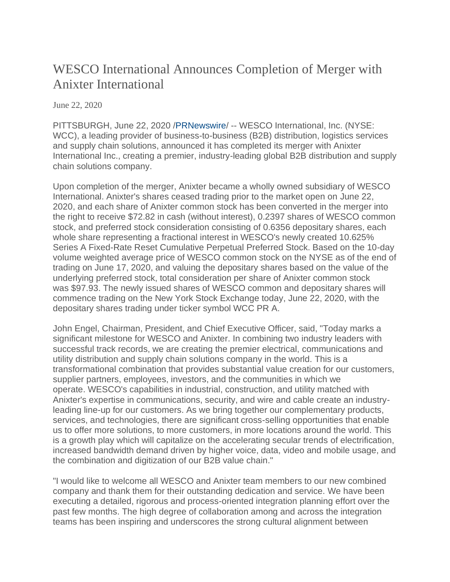## WESCO International Announces Completion of Merger with Anixter International

June 22, 2020

PITTSBURGH, June 22, 2020 [/PRNewswire/](http://www.prnewswire.com/) -- WESCO International, Inc. (NYSE: WCC), a leading provider of business-to-business (B2B) distribution, logistics services and supply chain solutions, announced it has completed its merger with Anixter International Inc., creating a premier, industry-leading global B2B distribution and supply chain solutions company.

Upon completion of the merger, Anixter became a wholly owned subsidiary of WESCO International. Anixter's shares ceased trading prior to the market open on June 22, 2020, and each share of Anixter common stock has been converted in the merger into the right to receive \$72.82 in cash (without interest), 0.2397 shares of WESCO common stock, and preferred stock consideration consisting of 0.6356 depositary shares, each whole share representing a fractional interest in WESCO's newly created 10.625% Series A Fixed-Rate Reset Cumulative Perpetual Preferred Stock. Based on the 10-day volume weighted average price of WESCO common stock on the NYSE as of the end of trading on June 17, 2020, and valuing the depositary shares based on the value of the underlying preferred stock, total consideration per share of Anixter common stock was \$97.93. The newly issued shares of WESCO common and depositary shares will commence trading on the New York Stock Exchange today, June 22, 2020, with the depositary shares trading under ticker symbol WCC PR A.

John Engel, Chairman, President, and Chief Executive Officer, said, "Today marks a significant milestone for WESCO and Anixter. In combining two industry leaders with successful track records, we are creating the premier electrical, communications and utility distribution and supply chain solutions company in the world. This is a transformational combination that provides substantial value creation for our customers, supplier partners, employees, investors, and the communities in which we operate. WESCO's capabilities in industrial, construction, and utility matched with Anixter's expertise in communications, security, and wire and cable create an industryleading line-up for our customers. As we bring together our complementary products, services, and technologies, there are significant cross-selling opportunities that enable us to offer more solutions, to more customers, in more locations around the world. This is a growth play which will capitalize on the accelerating secular trends of electrification, increased bandwidth demand driven by higher voice, data, video and mobile usage, and the combination and digitization of our B2B value chain."

"I would like to welcome all WESCO and Anixter team members to our new combined company and thank them for their outstanding dedication and service. We have been executing a detailed, rigorous and process-oriented integration planning effort over the past few months. The high degree of collaboration among and across the integration teams has been inspiring and underscores the strong cultural alignment between